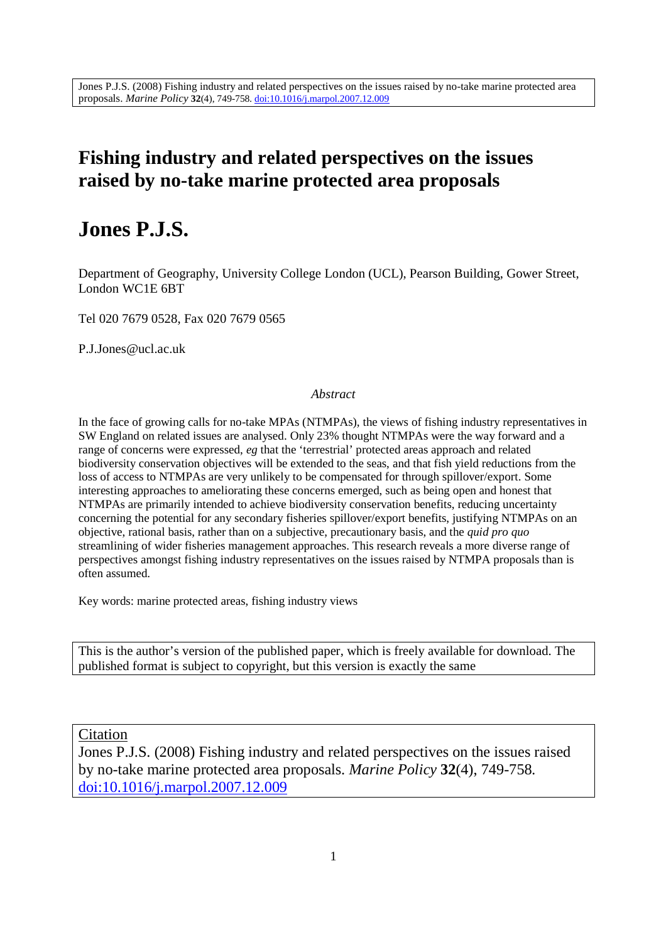## **Fishing industry and related perspectives on the issues raised by no-take marine protected area proposals**

# **Jones P.J.S.**

Department of Geography, University College London (UCL), Pearson Building, Gower Street, London WC1E 6BT

Tel 020 7679 0528, Fax 020 7679 0565

P.J.Jones@ucl.ac.uk

#### *Abstract*

In the face of growing calls for no-take MPAs (NTMPAs), the views of fishing industry representatives in SW England on related issues are analysed. Only 23% thought NTMPAs were the way forward and a range of concerns were expressed, *eg* that the 'terrestrial' protected areas approach and related biodiversity conservation objectives will be extended to the seas, and that fish yield reductions from the loss of access to NTMPAs are very unlikely to be compensated for through spillover/export. Some interesting approaches to ameliorating these concerns emerged, such as being open and honest that NTMPAs are primarily intended to achieve biodiversity conservation benefits, reducing uncertainty concerning the potential for any secondary fisheries spillover/export benefits, justifying NTMPAs on an objective, rational basis, rather than on a subjective, precautionary basis, and the *quid pro quo* streamlining of wider fisheries management approaches. This research reveals a more diverse range of perspectives amongst fishing industry representatives on the issues raised by NTMPA proposals than is often assumed.

Key words: marine protected areas, fishing industry views

This is the author's version of the published paper, which is freely available for download. The published format is subject to copyright, but this version is exactly the same

Citation

Jones P.J.S. (2008) Fishing industry and related perspectives on the issues raised by no-take marine protected area proposals. *Marine Policy* **32**(4), 749-758*.* doi:10.1016/j.marpol.2007.12.009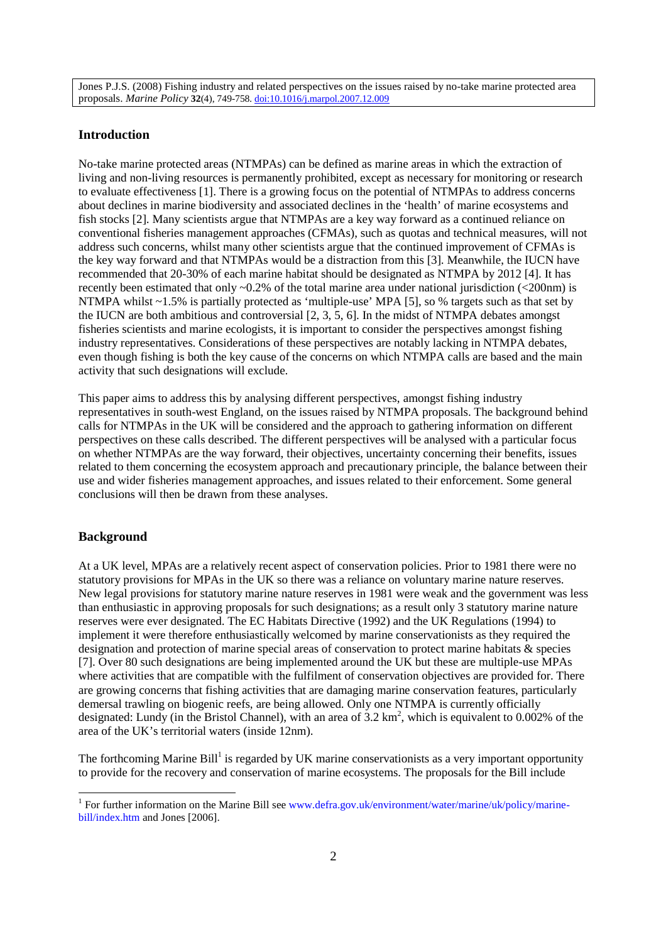#### **Introduction**

No-take marine protected areas (NTMPAs) can be defined as marine areas in which the extraction of living and non-living resources is permanently prohibited, except as necessary for monitoring or research to evaluate effectiveness [1]. There is a growing focus on the potential of NTMPAs to address concerns about declines in marine biodiversity and associated declines in the 'health' of marine ecosystems and fish stocks [2]. Many scientists argue that NTMPAs are a key way forward as a continued reliance on conventional fisheries management approaches (CFMAs), such as quotas and technical measures, will not address such concerns, whilst many other scientists argue that the continued improvement of CFMAs is the key way forward and that NTMPAs would be a distraction from this [3]. Meanwhile, the IUCN have recommended that 20-30% of each marine habitat should be designated as NTMPA by 2012 [4]. It has recently been estimated that only ~0.2% of the total marine area under national jurisdiction (<200nm) is NTMPA whilst ~1.5% is partially protected as 'multiple-use' MPA [5], so % targets such as that set by the IUCN are both ambitious and controversial [2, 3, 5, 6]. In the midst of NTMPA debates amongst fisheries scientists and marine ecologists, it is important to consider the perspectives amongst fishing industry representatives. Considerations of these perspectives are notably lacking in NTMPA debates, even though fishing is both the key cause of the concerns on which NTMPA calls are based and the main activity that such designations will exclude.

This paper aims to address this by analysing different perspectives, amongst fishing industry representatives in south-west England, on the issues raised by NTMPA proposals. The background behind calls for NTMPAs in the UK will be considered and the approach to gathering information on different perspectives on these calls described. The different perspectives will be analysed with a particular focus on whether NTMPAs are the way forward, their objectives, uncertainty concerning their benefits, issues related to them concerning the ecosystem approach and precautionary principle, the balance between their use and wider fisheries management approaches, and issues related to their enforcement. Some general conclusions will then be drawn from these analyses.

#### **Background**

At a UK level, MPAs are a relatively recent aspect of conservation policies. Prior to 1981 there were no statutory provisions for MPAs in the UK so there was a reliance on voluntary marine nature reserves. New legal provisions for statutory marine nature reserves in 1981 were weak and the government was less than enthusiastic in approving proposals for such designations; as a result only 3 statutory marine nature reserves were ever designated. The EC Habitats Directive (1992) and the UK Regulations (1994) to implement it were therefore enthusiastically welcomed by marine conservationists as they required the designation and protection of marine special areas of conservation to protect marine habitats & species [7]. Over 80 such designations are being implemented around the UK but these are multiple-use MPAs where activities that are compatible with the fulfilment of conservation objectives are provided for. There are growing concerns that fishing activities that are damaging marine conservation features, particularly demersal trawling on biogenic reefs, are being allowed. Only one NTMPA is currently officially designated: Lundy (in the Bristol Channel), with an area of  $3.2 \text{ km}^2$ , which is equivalent to 0.002% of the area of the UK's territorial waters (inside 12nm).

The forthcoming Marine Bill<sup>1</sup> is regarded by UK marine conservationists as a very important opportunity to provide for the recovery and conservation of marine ecosystems. The proposals for the Bill include

<sup>&</sup>lt;sup>1</sup> For further information on the Marine Bill see www.defra.gov.uk/environment/water/marine/uk/policy/marinebill/index.htm and Jones [2006].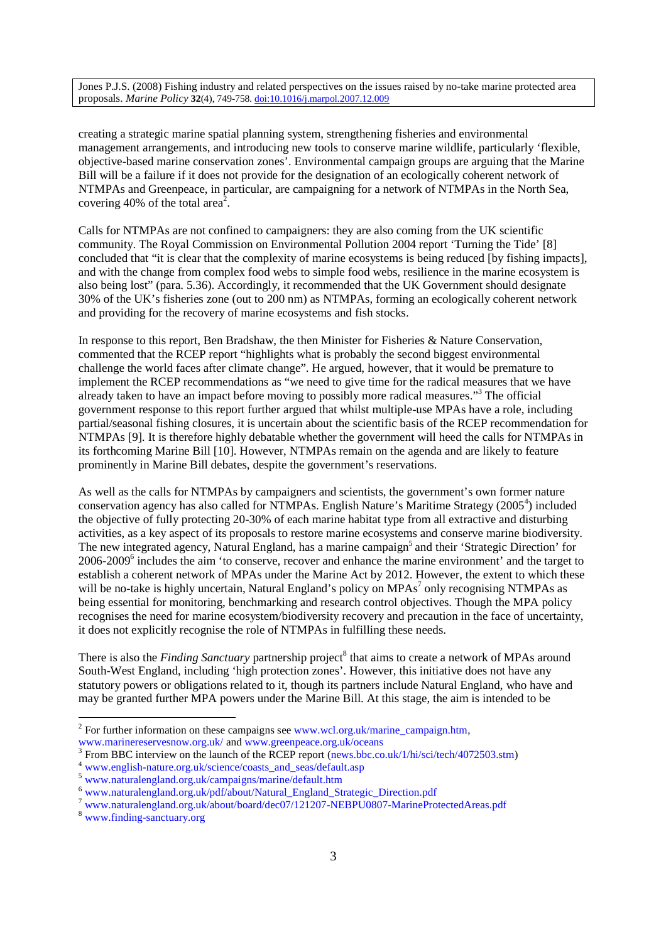creating a strategic marine spatial planning system, strengthening fisheries and environmental management arrangements, and introducing new tools to conserve marine wildlife, particularly 'flexible, objective-based marine conservation zones'. Environmental campaign groups are arguing that the Marine Bill will be a failure if it does not provide for the designation of an ecologically coherent network of NTMPAs and Greenpeace, in particular, are campaigning for a network of NTMPAs in the North Sea, covering 40% of the total area<sup>2</sup>.

Calls for NTMPAs are not confined to campaigners: they are also coming from the UK scientific community. The Royal Commission on Environmental Pollution 2004 report 'Turning the Tide' [8] concluded that "it is clear that the complexity of marine ecosystems is being reduced [by fishing impacts], and with the change from complex food webs to simple food webs, resilience in the marine ecosystem is also being lost" (para. 5.36). Accordingly, it recommended that the UK Government should designate 30% of the UK's fisheries zone (out to 200 nm) as NTMPAs, forming an ecologically coherent network and providing for the recovery of marine ecosystems and fish stocks.

In response to this report, Ben Bradshaw, the then Minister for Fisheries & Nature Conservation, commented that the RCEP report "highlights what is probably the second biggest environmental challenge the world faces after climate change". He argued, however, that it would be premature to implement the RCEP recommendations as "we need to give time for the radical measures that we have already taken to have an impact before moving to possibly more radical measures."<sup>3</sup> The official government response to this report further argued that whilst multiple-use MPAs have a role, including partial/seasonal fishing closures, it is uncertain about the scientific basis of the RCEP recommendation for NTMPAs [9]. It is therefore highly debatable whether the government will heed the calls for NTMPAs in its forthcoming Marine Bill [10]. However, NTMPAs remain on the agenda and are likely to feature prominently in Marine Bill debates, despite the government's reservations.

As well as the calls for NTMPAs by campaigners and scientists, the government's own former nature conservation agency has also called for NTMPAs. English Nature's Maritime Strategy (2005<sup>4</sup>) included the objective of fully protecting 20-30% of each marine habitat type from all extractive and disturbing activities, as a key aspect of its proposals to restore marine ecosystems and conserve marine biodiversity. The new integrated agency, Natural England, has a marine campaign<sup>5</sup> and their 'Strategic Direction' for 2006-2009<sup>6</sup> includes the aim 'to conserve, recover and enhance the marine environment' and the target to establish a coherent network of MPAs under the Marine Act by 2012. However, the extent to which these will be no-take is highly uncertain, Natural England's policy on MPAs $^7$  only recognising NTMPAs as being essential for monitoring, benchmarking and research control objectives. Though the MPA policy recognises the need for marine ecosystem/biodiversity recovery and precaution in the face of uncertainty, it does not explicitly recognise the role of NTMPAs in fulfilling these needs.

There is also the *Finding Sanctuary* partnership project<sup>8</sup> that aims to create a network of MPAs around South-West England, including 'high protection zones'. However, this initiative does not have any statutory powers or obligations related to it, though its partners include Natural England, who have and may be granted further MPA powers under the Marine Bill. At this stage, the aim is intended to be

<sup>&</sup>lt;sup>2</sup> For further information on these campaigns see www.wcl.org.uk/marine\_campaign.htm,

www.marinereservesnow.org.uk/ and www.greenpeace.org.uk/oceans

<sup>&</sup>lt;sup>3</sup> From BBC interview on the launch of the RCEP report (news.bbc.co.uk/1/hi/sci/tech/4072503.stm)

www.english-nature.org.uk/science/coasts\_and\_seas/default.asp

<sup>5</sup> www.naturalengland.org.uk/campaigns/marine/default.htm

<sup>6</sup> www.naturalengland.org.uk/pdf/about/Natural\_England\_Strategic\_Direction.pdf

<sup>7</sup> www.naturalengland.org.uk/about/board/dec07/121207-NEBPU0807-MarineProtectedAreas.pdf

<sup>8</sup> www.finding-sanctuary.org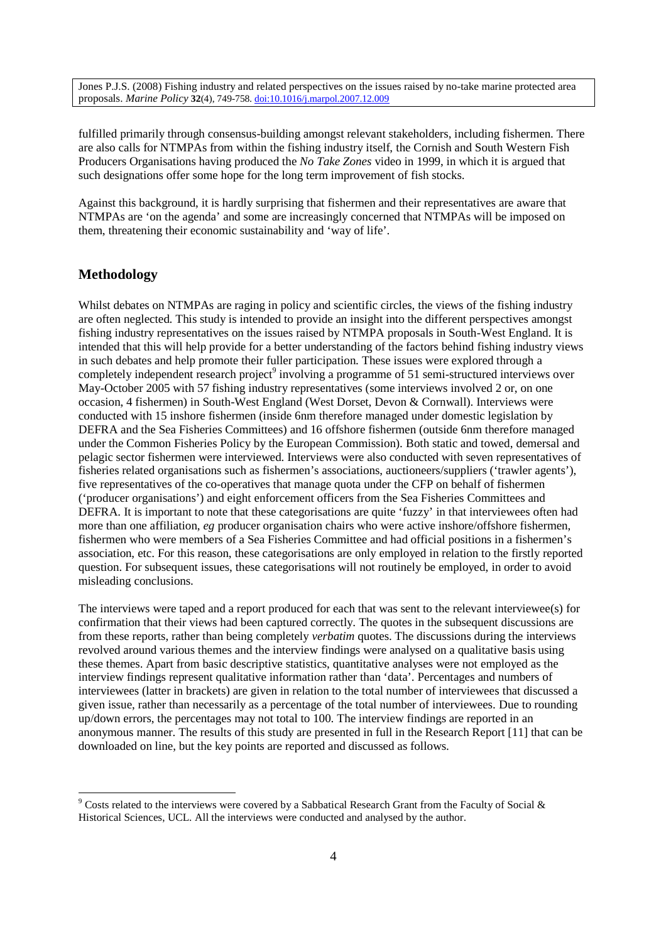fulfilled primarily through consensus-building amongst relevant stakeholders, including fishermen. There are also calls for NTMPAs from within the fishing industry itself, the Cornish and South Western Fish Producers Organisations having produced the *No Take Zones* video in 1999, in which it is argued that such designations offer some hope for the long term improvement of fish stocks.

Against this background, it is hardly surprising that fishermen and their representatives are aware that NTMPAs are 'on the agenda' and some are increasingly concerned that NTMPAs will be imposed on them, threatening their economic sustainability and 'way of life'.

## **Methodology**

Whilst debates on NTMPAs are raging in policy and scientific circles, the views of the fishing industry are often neglected. This study is intended to provide an insight into the different perspectives amongst fishing industry representatives on the issues raised by NTMPA proposals in South-West England. It is intended that this will help provide for a better understanding of the factors behind fishing industry views in such debates and help promote their fuller participation. These issues were explored through a completely independent research project<sup>9</sup> involving a programme of 51 semi-structured interviews over May-October 2005 with 57 fishing industry representatives (some interviews involved 2 or, on one occasion, 4 fishermen) in South-West England (West Dorset, Devon & Cornwall). Interviews were conducted with 15 inshore fishermen (inside 6nm therefore managed under domestic legislation by DEFRA and the Sea Fisheries Committees) and 16 offshore fishermen (outside 6nm therefore managed under the Common Fisheries Policy by the European Commission). Both static and towed, demersal and pelagic sector fishermen were interviewed. Interviews were also conducted with seven representatives of fisheries related organisations such as fishermen's associations, auctioneers/suppliers ('trawler agents'), five representatives of the co-operatives that manage quota under the CFP on behalf of fishermen ('producer organisations') and eight enforcement officers from the Sea Fisheries Committees and DEFRA. It is important to note that these categorisations are quite 'fuzzy' in that interviewees often had more than one affiliation, *eg* producer organisation chairs who were active inshore/offshore fishermen, fishermen who were members of a Sea Fisheries Committee and had official positions in a fishermen's association, etc. For this reason, these categorisations are only employed in relation to the firstly reported question. For subsequent issues, these categorisations will not routinely be employed, in order to avoid misleading conclusions.

The interviews were taped and a report produced for each that was sent to the relevant interviewee(s) for confirmation that their views had been captured correctly. The quotes in the subsequent discussions are from these reports, rather than being completely *verbatim* quotes. The discussions during the interviews revolved around various themes and the interview findings were analysed on a qualitative basis using these themes. Apart from basic descriptive statistics, quantitative analyses were not employed as the interview findings represent qualitative information rather than 'data'. Percentages and numbers of interviewees (latter in brackets) are given in relation to the total number of interviewees that discussed a given issue, rather than necessarily as a percentage of the total number of interviewees. Due to rounding up/down errors, the percentages may not total to 100. The interview findings are reported in an anonymous manner. The results of this study are presented in full in the Research Report [11] that can be downloaded on line, but the key points are reported and discussed as follows.

<sup>9</sup> Costs related to the interviews were covered by a Sabbatical Research Grant from the Faculty of Social & Historical Sciences, UCL. All the interviews were conducted and analysed by the author.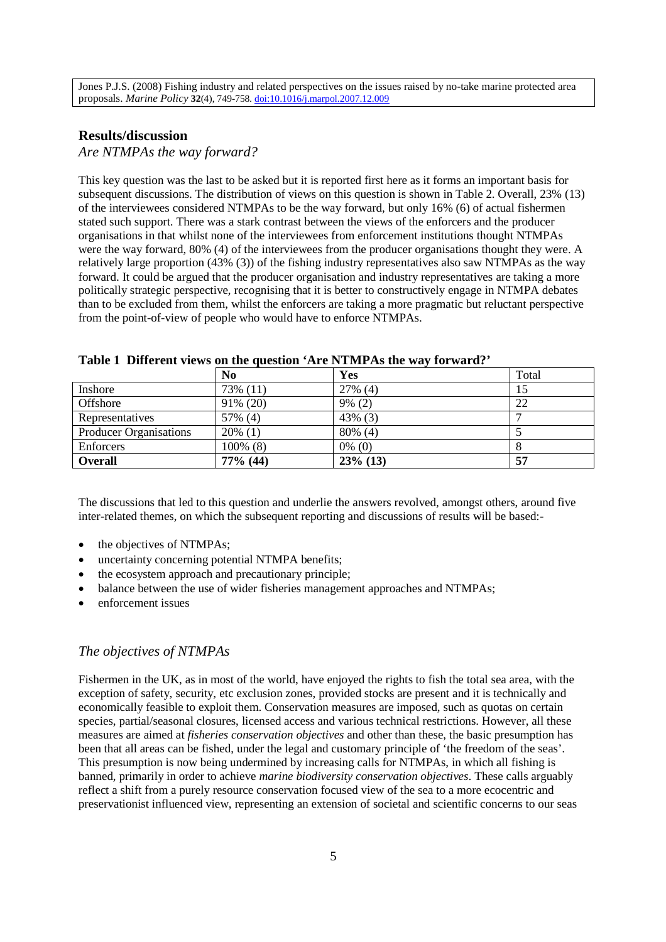#### **Results/discussion**

#### *Are NTMPAs the way forward?*

This key question was the last to be asked but it is reported first here as it forms an important basis for subsequent discussions. The distribution of views on this question is shown in Table 2. Overall, 23% (13) of the interviewees considered NTMPAs to be the way forward, but only 16% (6) of actual fishermen stated such support. There was a stark contrast between the views of the enforcers and the producer organisations in that whilst none of the interviewees from enforcement institutions thought NTMPAs were the way forward, 80% (4) of the interviewees from the producer organisations thought they were. A relatively large proportion (43% (3)) of the fishing industry representatives also saw NTMPAs as the way forward. It could be argued that the producer organisation and industry representatives are taking a more politically strategic perspective, recognising that it is better to constructively engage in NTMPA debates than to be excluded from them, whilst the enforcers are taking a more pragmatic but reluctant perspective from the point-of-view of people who would have to enforce NTMPAs.

|                        | N <sub>0</sub> | Yes         | Total |
|------------------------|----------------|-------------|-------|
| Inshore                | 73% (11)       | $27\%$ (4)  | 15    |
| Offshore               | 91% (20)       | $9\% (2)$   | 22    |
| Representatives        | 57% (4)        | 43% (3)     |       |
| Producer Organisations | $20\%$ (1)     | 80% (4)     |       |
| Enforcers              | 100% (8)       | $0\%$ (0)   |       |
| <b>Overall</b>         | 77% (44)       | $23\%$ (13) | 57    |

**Table 1 Different views on the question 'Are NTMPAs the way forward?'**

The discussions that led to this question and underlie the answers revolved, amongst others, around five inter-related themes, on which the subsequent reporting and discussions of results will be based:-

- the objectives of NTMPAs;
- uncertainty concerning potential NTMPA benefits;
- the ecosystem approach and precautionary principle;
- balance between the use of wider fisheries management approaches and NTMPAs;
- enforcement issues

#### *The objectives of NTMPAs*

Fishermen in the UK, as in most of the world, have enjoyed the rights to fish the total sea area, with the exception of safety, security, etc exclusion zones, provided stocks are present and it is technically and economically feasible to exploit them. Conservation measures are imposed, such as quotas on certain species, partial/seasonal closures, licensed access and various technical restrictions. However, all these measures are aimed at *fisheries conservation objectives* and other than these, the basic presumption has been that all areas can be fished, under the legal and customary principle of 'the freedom of the seas'. This presumption is now being undermined by increasing calls for NTMPAs, in which all fishing is banned, primarily in order to achieve *marine biodiversity conservation objectives*. These calls arguably reflect a shift from a purely resource conservation focused view of the sea to a more ecocentric and preservationist influenced view, representing an extension of societal and scientific concerns to our seas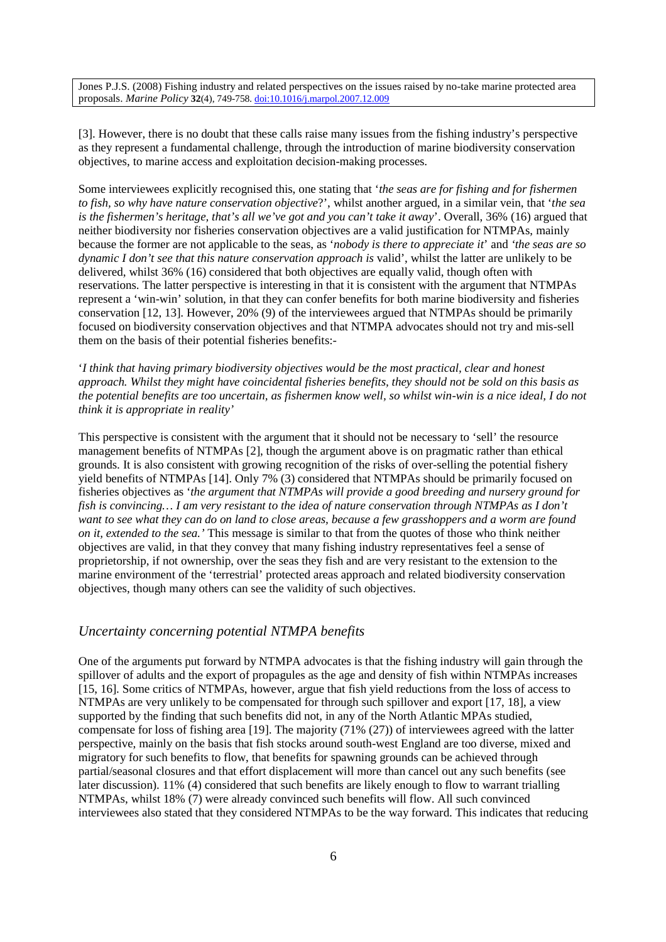[3]. However, there is no doubt that these calls raise many issues from the fishing industry's perspective as they represent a fundamental challenge, through the introduction of marine biodiversity conservation objectives, to marine access and exploitation decision-making processes.

Some interviewees explicitly recognised this, one stating that '*the seas are for fishing and for fishermen to fish, so why have nature conservation objective*?', whilst another argued, in a similar vein, that '*the sea is the fishermen's heritage, that's all we've got and you can't take it away*'. Overall, 36% (16) argued that neither biodiversity nor fisheries conservation objectives are a valid justification for NTMPAs, mainly because the former are not applicable to the seas, as '*nobody is there to appreciate it*' and *'the seas are so dynamic I don't see that this nature conservation approach is* valid', whilst the latter are unlikely to be delivered, whilst 36% (16) considered that both objectives are equally valid, though often with reservations. The latter perspective is interesting in that it is consistent with the argument that NTMPAs represent a 'win-win' solution, in that they can confer benefits for both marine biodiversity and fisheries conservation [12, 13]. However, 20% (9) of the interviewees argued that NTMPAs should be primarily focused on biodiversity conservation objectives and that NTMPA advocates should not try and mis-sell them on the basis of their potential fisheries benefits:-

'*I think that having primary biodiversity objectives would be the most practical, clear and honest approach. Whilst they might have coincidental fisheries benefits, they should not be sold on this basis as the potential benefits are too uncertain, as fishermen know well, so whilst win-win is a nice ideal, I do not think it is appropriate in reality'*

This perspective is consistent with the argument that it should not be necessary to 'sell' the resource management benefits of NTMPAs [2], though the argument above is on pragmatic rather than ethical grounds. It is also consistent with growing recognition of the risks of over-selling the potential fishery yield benefits of NTMPAs [14]. Only 7% (3) considered that NTMPAs should be primarily focused on fisheries objectives as '*the argument that NTMPAs will provide a good breeding and nursery ground for fish is convincing… I am very resistant to the idea of nature conservation through NTMPAs as I don't want to see what they can do on land to close areas, because a few grasshoppers and a worm are found on it, extended to the sea.'* This message is similar to that from the quotes of those who think neither objectives are valid, in that they convey that many fishing industry representatives feel a sense of proprietorship, if not ownership, over the seas they fish and are very resistant to the extension to the marine environment of the 'terrestrial' protected areas approach and related biodiversity conservation objectives, though many others can see the validity of such objectives.

#### *Uncertainty concerning potential NTMPA benefits*

One of the arguments put forward by NTMPA advocates is that the fishing industry will gain through the spillover of adults and the export of propagules as the age and density of fish within NTMPAs increases [15, 16]. Some critics of NTMPAs, however, argue that fish yield reductions from the loss of access to NTMPAs are very unlikely to be compensated for through such spillover and export [17, 18], a view supported by the finding that such benefits did not, in any of the North Atlantic MPAs studied, compensate for loss of fishing area [19]. The majority (71% (27)) of interviewees agreed with the latter perspective, mainly on the basis that fish stocks around south-west England are too diverse, mixed and migratory for such benefits to flow, that benefits for spawning grounds can be achieved through partial/seasonal closures and that effort displacement will more than cancel out any such benefits (see later discussion). 11% (4) considered that such benefits are likely enough to flow to warrant trialling NTMPAs, whilst 18% (7) were already convinced such benefits will flow. All such convinced interviewees also stated that they considered NTMPAs to be the way forward. This indicates that reducing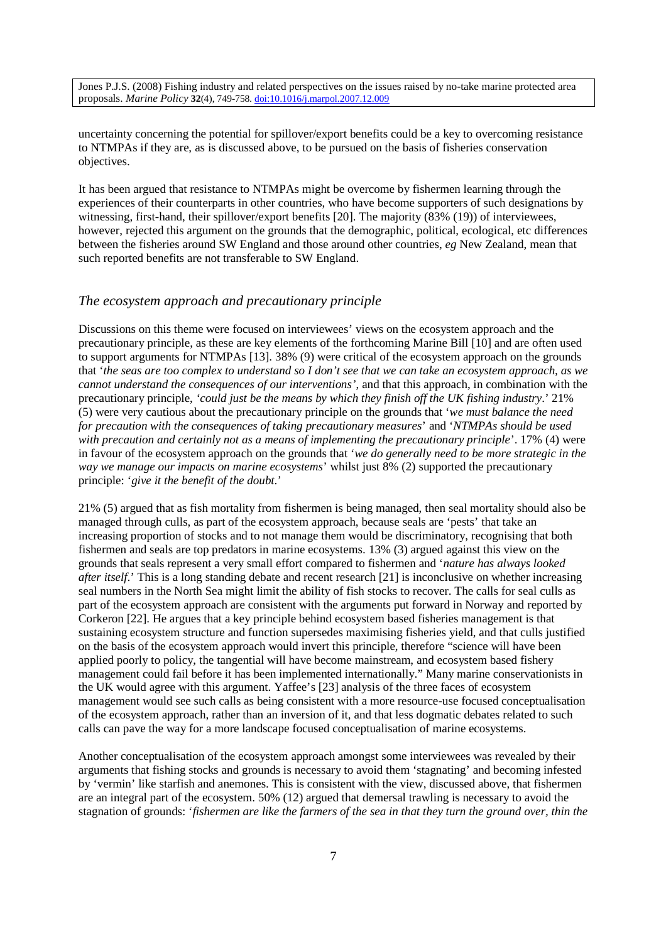uncertainty concerning the potential for spillover/export benefits could be a key to overcoming resistance to NTMPAs if they are, as is discussed above, to be pursued on the basis of fisheries conservation objectives.

It has been argued that resistance to NTMPAs might be overcome by fishermen learning through the experiences of their counterparts in other countries, who have become supporters of such designations by witnessing, first-hand, their spillover/export benefits [20]. The majority (83% (19)) of interviewees, however, rejected this argument on the grounds that the demographic, political, ecological, etc differences between the fisheries around SW England and those around other countries, *eg* New Zealand, mean that such reported benefits are not transferable to SW England.

#### *The ecosystem approach and precautionary principle*

Discussions on this theme were focused on interviewees' views on the ecosystem approach and the precautionary principle, as these are key elements of the forthcoming Marine Bill [10] and are often used to support arguments for NTMPAs [13]. 38% (9) were critical of the ecosystem approach on the grounds that '*the seas are too complex to understand so I don't see that we can take an ecosystem approach, as we cannot understand the consequences of our interventions'*, and that this approach, in combination with the precautionary principle, *'could just be the means by which they finish off the UK fishing industry*.' 21% (5) were very cautious about the precautionary principle on the grounds that '*we must balance the need for precaution with the consequences of taking precautionary measures*' and '*NTMPAs should be used with precaution and certainly not as a means of implementing the precautionary principle*'. 17% (4) were in favour of the ecosystem approach on the grounds that '*we do generally need to be more strategic in the way we manage our impacts on marine ecosystems*' whilst just 8% (2) supported the precautionary principle: '*give it the benefit of the doubt*.'

21% (5) argued that as fish mortality from fishermen is being managed, then seal mortality should also be managed through culls, as part of the ecosystem approach, because seals are 'pests' that take an increasing proportion of stocks and to not manage them would be discriminatory, recognising that both fishermen and seals are top predators in marine ecosystems. 13% (3) argued against this view on the grounds that seals represent a very small effort compared to fishermen and '*nature has always looked after itself*.' This is a long standing debate and recent research [21] is inconclusive on whether increasing seal numbers in the North Sea might limit the ability of fish stocks to recover. The calls for seal culls as part of the ecosystem approach are consistent with the arguments put forward in Norway and reported by Corkeron [22]. He argues that a key principle behind ecosystem based fisheries management is that sustaining ecosystem structure and function supersedes maximising fisheries yield, and that culls justified on the basis of the ecosystem approach would invert this principle, therefore "science will have been applied poorly to policy, the tangential will have become mainstream, and ecosystem based fishery management could fail before it has been implemented internationally." Many marine conservationists in the UK would agree with this argument. Yaffee's [23] analysis of the three faces of ecosystem management would see such calls as being consistent with a more resource-use focused conceptualisation of the ecosystem approach, rather than an inversion of it, and that less dogmatic debates related to such calls can pave the way for a more landscape focused conceptualisation of marine ecosystems.

Another conceptualisation of the ecosystem approach amongst some interviewees was revealed by their arguments that fishing stocks and grounds is necessary to avoid them 'stagnating' and becoming infested by 'vermin' like starfish and anemones. This is consistent with the view, discussed above, that fishermen are an integral part of the ecosystem. 50% (12) argued that demersal trawling is necessary to avoid the stagnation of grounds: '*fishermen are like the farmers of the sea in that they turn the ground over, thin the*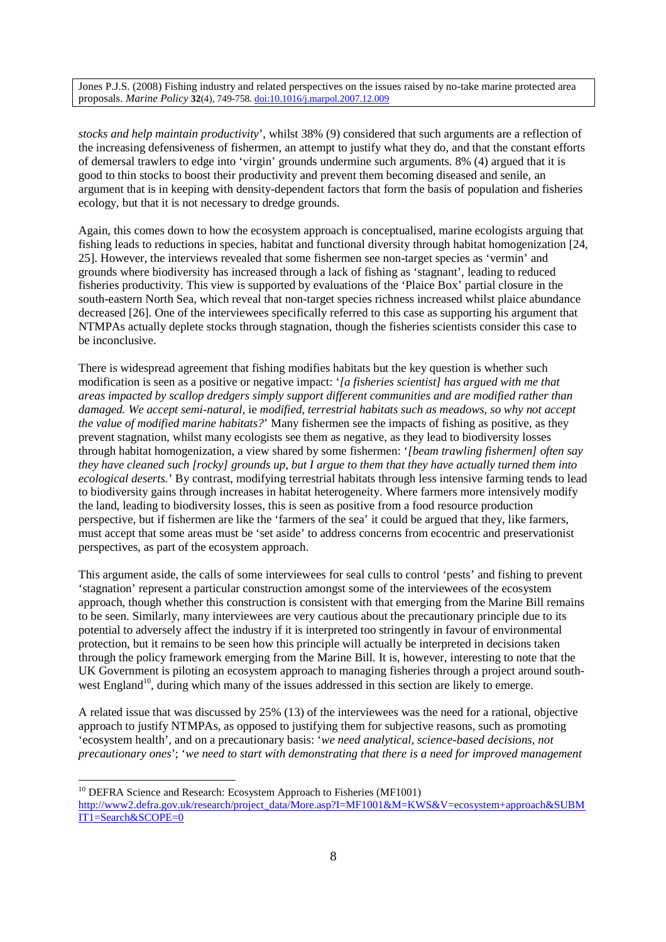*stocks and help maintain productivity*', whilst 38% (9) considered that such arguments are a reflection of the increasing defensiveness of fishermen, an attempt to justify what they do, and that the constant efforts of demersal trawlers to edge into 'virgin' grounds undermine such arguments. 8% (4) argued that it is good to thin stocks to boost their productivity and prevent them becoming diseased and senile, an argument that is in keeping with density-dependent factors that form the basis of population and fisheries ecology, but that it is not necessary to dredge grounds.

Again, this comes down to how the ecosystem approach is conceptualised, marine ecologists arguing that fishing leads to reductions in species, habitat and functional diversity through habitat homogenization [24, 25]. However, the interviews revealed that some fishermen see non-target species as 'vermin' and grounds where biodiversity has increased through a lack of fishing as 'stagnant', leading to reduced fisheries productivity. This view is supported by evaluations of the 'Plaice Box' partial closure in the south-eastern North Sea, which reveal that non-target species richness increased whilst plaice abundance decreased [26]. One of the interviewees specifically referred to this case as supporting his argument that NTMPAs actually deplete stocks through stagnation, though the fisheries scientists consider this case to be inconclusive.

There is widespread agreement that fishing modifies habitats but the key question is whether such modification is seen as a positive or negative impact: '*[a fisheries scientist] has argued with me that areas impacted by scallop dredgers simply support different communities and are modified rather than damaged. We accept semi-natural,* ie *modified, terrestrial habitats such as meadows, so why not accept the value of modified marine habitats?*' Many fishermen see the impacts of fishing as positive, as they prevent stagnation, whilst many ecologists see them as negative, as they lead to biodiversity losses through habitat homogenization, a view shared by some fishermen: '*[beam trawling fishermen] often say they have cleaned such [rocky] grounds up, but I argue to them that they have actually turned them into ecological deserts.*' By contrast, modifying terrestrial habitats through less intensive farming tends to lead to biodiversity gains through increases in habitat heterogeneity. Where farmers more intensively modify the land, leading to biodiversity losses, this is seen as positive from a food resource production perspective, but if fishermen are like the 'farmers of the sea' it could be argued that they, like farmers, must accept that some areas must be 'set aside' to address concerns from ecocentric and preservationist perspectives, as part of the ecosystem approach.

This argument aside, the calls of some interviewees for seal culls to control 'pests' and fishing to prevent 'stagnation' represent a particular construction amongst some of the interviewees of the ecosystem approach, though whether this construction is consistent with that emerging from the Marine Bill remains to be seen. Similarly, many interviewees are very cautious about the precautionary principle due to its potential to adversely affect the industry if it is interpreted too stringently in favour of environmental protection, but it remains to be seen how this principle will actually be interpreted in decisions taken through the policy framework emerging from the Marine Bill. It is, however, interesting to note that the UK Government is piloting an ecosystem approach to managing fisheries through a project around southwest England<sup>10</sup>, during which many of the issues addressed in this section are likely to emerge.

A related issue that was discussed by 25% (13) of the interviewees was the need for a rational, objective approach to justify NTMPAs, as opposed to justifying them for subjective reasons, such as promoting 'ecosystem health', and on a precautionary basis: '*we need analytical, science-based decisions, not precautionary ones*'; '*we need to start with demonstrating that there is a need for improved management*

<sup>&</sup>lt;sup>10</sup> DEFRA Science and Research: Ecosystem Approach to Fisheries (MF1001) http://www2.defra.gov.uk/research/project\_data/More.asp?I=MF1001&M=KWS&V=ecosystem+approach&SUBM IT1=Search&SCOPE=0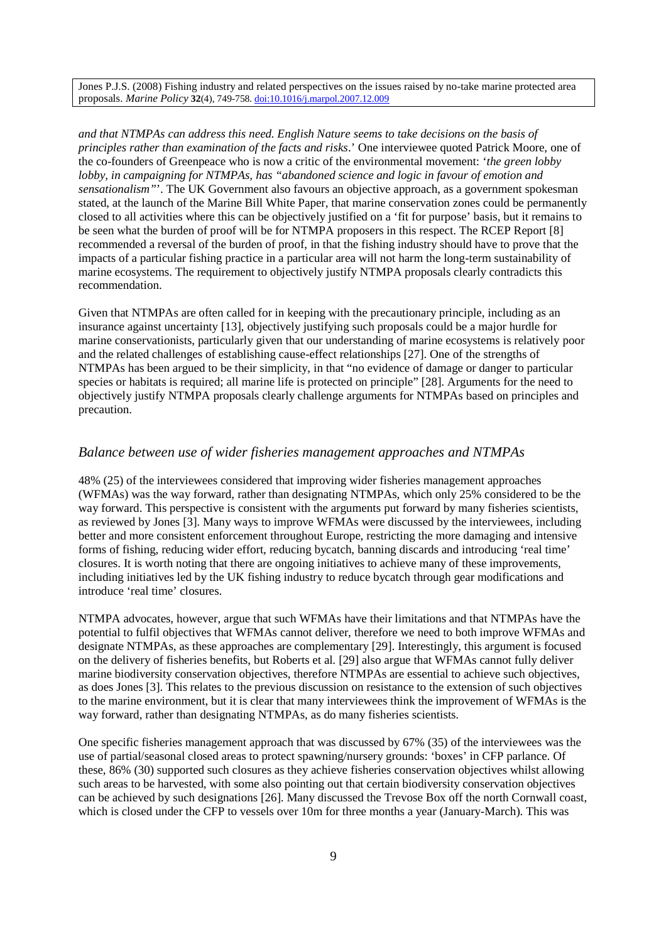*and that NTMPAs can address this need. English Nature seems to take decisions on the basis of principles rather than examination of the facts and risks*.' One interviewee quoted Patrick Moore, one of the co-founders of Greenpeace who is now a critic of the environmental movement: '*the green lobby lobby, in campaigning for NTMPAs, has "abandoned science and logic in favour of emotion and sensationalism"*'. The UK Government also favours an objective approach, as a government spokesman stated, at the launch of the Marine Bill White Paper, that marine conservation zones could be permanently closed to all activities where this can be objectively justified on a 'fit for purpose' basis, but it remains to be seen what the burden of proof will be for NTMPA proposers in this respect. The RCEP Report [8] recommended a reversal of the burden of proof, in that the fishing industry should have to prove that the impacts of a particular fishing practice in a particular area will not harm the long-term sustainability of marine ecosystems. The requirement to objectively justify NTMPA proposals clearly contradicts this recommendation.

Given that NTMPAs are often called for in keeping with the precautionary principle, including as an insurance against uncertainty [13], objectively justifying such proposals could be a major hurdle for marine conservationists, particularly given that our understanding of marine ecosystems is relatively poor and the related challenges of establishing cause-effect relationships [27]. One of the strengths of NTMPAs has been argued to be their simplicity, in that "no evidence of damage or danger to particular species or habitats is required; all marine life is protected on principle" [28]. Arguments for the need to objectively justify NTMPA proposals clearly challenge arguments for NTMPAs based on principles and precaution.

#### *Balance between use of wider fisheries management approaches and NTMPAs*

48% (25) of the interviewees considered that improving wider fisheries management approaches (WFMAs) was the way forward, rather than designating NTMPAs, which only 25% considered to be the way forward. This perspective is consistent with the arguments put forward by many fisheries scientists, as reviewed by Jones [3]. Many ways to improve WFMAs were discussed by the interviewees, including better and more consistent enforcement throughout Europe, restricting the more damaging and intensive forms of fishing, reducing wider effort, reducing bycatch, banning discards and introducing 'real time' closures. It is worth noting that there are ongoing initiatives to achieve many of these improvements, including initiatives led by the UK fishing industry to reduce bycatch through gear modifications and introduce 'real time' closures.

NTMPA advocates, however, argue that such WFMAs have their limitations and that NTMPAs have the potential to fulfil objectives that WFMAs cannot deliver, therefore we need to both improve WFMAs and designate NTMPAs, as these approaches are complementary [29]. Interestingly, this argument is focused on the delivery of fisheries benefits, but Roberts et al. [29] also argue that WFMAs cannot fully deliver marine biodiversity conservation objectives, therefore NTMPAs are essential to achieve such objectives, as does Jones [3]. This relates to the previous discussion on resistance to the extension of such objectives to the marine environment, but it is clear that many interviewees think the improvement of WFMAs is the way forward, rather than designating NTMPAs, as do many fisheries scientists.

One specific fisheries management approach that was discussed by 67% (35) of the interviewees was the use of partial/seasonal closed areas to protect spawning/nursery grounds: 'boxes' in CFP parlance. Of these, 86% (30) supported such closures as they achieve fisheries conservation objectives whilst allowing such areas to be harvested, with some also pointing out that certain biodiversity conservation objectives can be achieved by such designations [26]. Many discussed the Trevose Box off the north Cornwall coast, which is closed under the CFP to vessels over 10m for three months a year (January-March). This was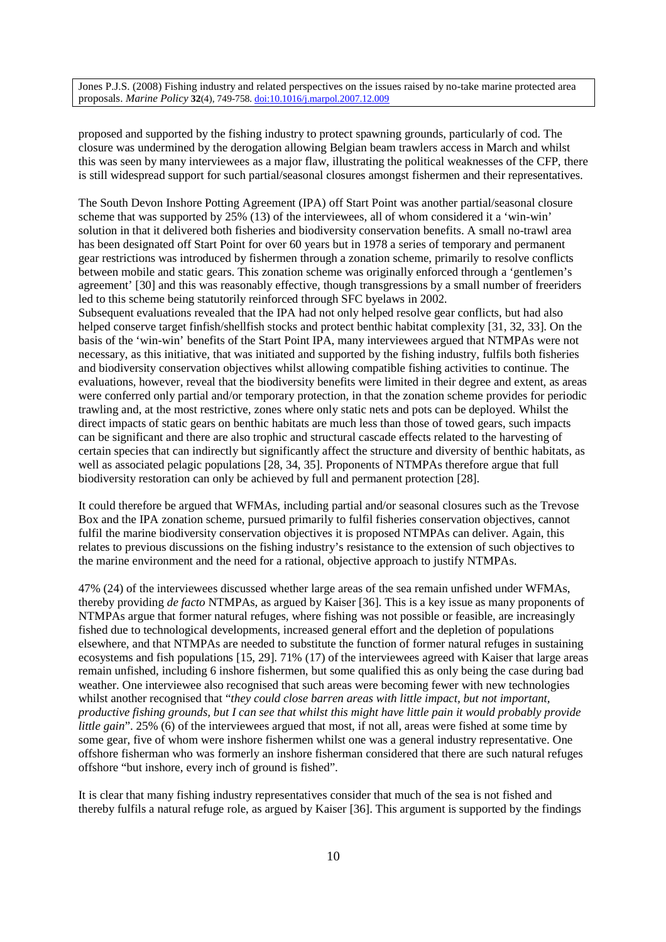proposed and supported by the fishing industry to protect spawning grounds, particularly of cod. The closure was undermined by the derogation allowing Belgian beam trawlers access in March and whilst this was seen by many interviewees as a major flaw, illustrating the political weaknesses of the CFP, there is still widespread support for such partial/seasonal closures amongst fishermen and their representatives.

The South Devon Inshore Potting Agreement (IPA) off Start Point was another partial/seasonal closure scheme that was supported by 25% (13) of the interviewees, all of whom considered it a 'win-win' solution in that it delivered both fisheries and biodiversity conservation benefits. A small no-trawl area has been designated off Start Point for over 60 years but in 1978 a series of temporary and permanent gear restrictions was introduced by fishermen through a zonation scheme, primarily to resolve conflicts between mobile and static gears. This zonation scheme was originally enforced through a 'gentlemen's agreement' [30] and this was reasonably effective, though transgressions by a small number of freeriders led to this scheme being statutorily reinforced through SFC byelaws in 2002. Subsequent evaluations revealed that the IPA had not only helped resolve gear conflicts, but had also helped conserve target finfish/shellfish stocks and protect benthic habitat complexity [31, 32, 33]. On the basis of the 'win-win' benefits of the Start Point IPA, many interviewees argued that NTMPAs were not necessary, as this initiative, that was initiated and supported by the fishing industry, fulfils both fisheries and biodiversity conservation objectives whilst allowing compatible fishing activities to continue. The evaluations, however, reveal that the biodiversity benefits were limited in their degree and extent, as areas were conferred only partial and/or temporary protection, in that the zonation scheme provides for periodic trawling and, at the most restrictive, zones where only static nets and pots can be deployed. Whilst the direct impacts of static gears on benthic habitats are much less than those of towed gears, such impacts can be significant and there are also trophic and structural cascade effects related to the harvesting of certain species that can indirectly but significantly affect the structure and diversity of benthic habitats, as well as associated pelagic populations [28, 34, 35]. Proponents of NTMPAs therefore argue that full biodiversity restoration can only be achieved by full and permanent protection [28].

It could therefore be argued that WFMAs, including partial and/or seasonal closures such as the Trevose Box and the IPA zonation scheme, pursued primarily to fulfil fisheries conservation objectives, cannot fulfil the marine biodiversity conservation objectives it is proposed NTMPAs can deliver. Again, this relates to previous discussions on the fishing industry's resistance to the extension of such objectives to the marine environment and the need for a rational, objective approach to justify NTMPAs.

47% (24) of the interviewees discussed whether large areas of the sea remain unfished under WFMAs, thereby providing *de facto* NTMPAs, as argued by Kaiser [36]. This is a key issue as many proponents of NTMPAs argue that former natural refuges, where fishing was not possible or feasible, are increasingly fished due to technological developments, increased general effort and the depletion of populations elsewhere, and that NTMPAs are needed to substitute the function of former natural refuges in sustaining ecosystems and fish populations [15, 29]. 71% (17) of the interviewees agreed with Kaiser that large areas remain unfished, including 6 inshore fishermen, but some qualified this as only being the case during bad weather. One interviewee also recognised that such areas were becoming fewer with new technologies whilst another recognised that "*they could close barren areas with little impact, but not important, productive fishing grounds, but I can see that whilst this might have little pain it would probably provide little gain*". 25% (6) of the interviewees argued that most, if not all, areas were fished at some time by some gear, five of whom were inshore fishermen whilst one was a general industry representative. One offshore fisherman who was formerly an inshore fisherman considered that there are such natural refuges offshore "but inshore, every inch of ground is fished".

It is clear that many fishing industry representatives consider that much of the sea is not fished and thereby fulfils a natural refuge role, as argued by Kaiser [36]. This argument is supported by the findings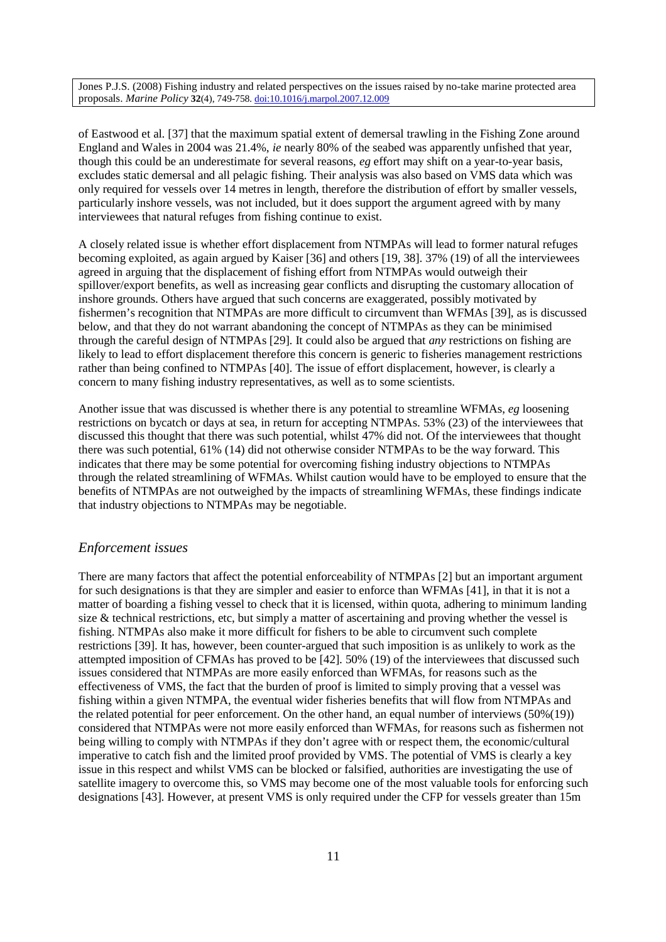of Eastwood et al. [37] that the maximum spatial extent of demersal trawling in the Fishing Zone around England and Wales in 2004 was 21.4%, *ie* nearly 80% of the seabed was apparently unfished that year, though this could be an underestimate for several reasons, *eg* effort may shift on a year-to-year basis, excludes static demersal and all pelagic fishing. Their analysis was also based on VMS data which was only required for vessels over 14 metres in length, therefore the distribution of effort by smaller vessels, particularly inshore vessels, was not included, but it does support the argument agreed with by many interviewees that natural refuges from fishing continue to exist.

A closely related issue is whether effort displacement from NTMPAs will lead to former natural refuges becoming exploited, as again argued by Kaiser [36] and others [19, 38]. 37% (19) of all the interviewees agreed in arguing that the displacement of fishing effort from NTMPAs would outweigh their spillover/export benefits, as well as increasing gear conflicts and disrupting the customary allocation of inshore grounds. Others have argued that such concerns are exaggerated, possibly motivated by fishermen's recognition that NTMPAs are more difficult to circumvent than WFMAs [39], as is discussed below, and that they do not warrant abandoning the concept of NTMPAs as they can be minimised through the careful design of NTMPAs [29]. It could also be argued that *any* restrictions on fishing are likely to lead to effort displacement therefore this concern is generic to fisheries management restrictions rather than being confined to NTMPAs [40]. The issue of effort displacement, however, is clearly a concern to many fishing industry representatives, as well as to some scientists.

Another issue that was discussed is whether there is any potential to streamline WFMAs, *eg* loosening restrictions on bycatch or days at sea, in return for accepting NTMPAs. 53% (23) of the interviewees that discussed this thought that there was such potential, whilst 47% did not. Of the interviewees that thought there was such potential, 61% (14) did not otherwise consider NTMPAs to be the way forward. This indicates that there may be some potential for overcoming fishing industry objections to NTMPAs through the related streamlining of WFMAs. Whilst caution would have to be employed to ensure that the benefits of NTMPAs are not outweighed by the impacts of streamlining WFMAs, these findings indicate that industry objections to NTMPAs may be negotiable.

#### *Enforcement issues*

There are many factors that affect the potential enforceability of NTMPAs [2] but an important argument for such designations is that they are simpler and easier to enforce than WFMAs [41], in that it is not a matter of boarding a fishing vessel to check that it is licensed, within quota, adhering to minimum landing size & technical restrictions, etc, but simply a matter of ascertaining and proving whether the vessel is fishing. NTMPAs also make it more difficult for fishers to be able to circumvent such complete restrictions [39]. It has, however, been counter-argued that such imposition is as unlikely to work as the attempted imposition of CFMAs has proved to be [42]. 50% (19) of the interviewees that discussed such issues considered that NTMPAs are more easily enforced than WFMAs, for reasons such as the effectiveness of VMS, the fact that the burden of proof is limited to simply proving that a vessel was fishing within a given NTMPA, the eventual wider fisheries benefits that will flow from NTMPAs and the related potential for peer enforcement. On the other hand, an equal number of interviews (50%(19)) considered that NTMPAs were not more easily enforced than WFMAs, for reasons such as fishermen not being willing to comply with NTMPAs if they don't agree with or respect them, the economic/cultural imperative to catch fish and the limited proof provided by VMS. The potential of VMS is clearly a key issue in this respect and whilst VMS can be blocked or falsified, authorities are investigating the use of satellite imagery to overcome this, so VMS may become one of the most valuable tools for enforcing such designations [43]. However, at present VMS is only required under the CFP for vessels greater than 15m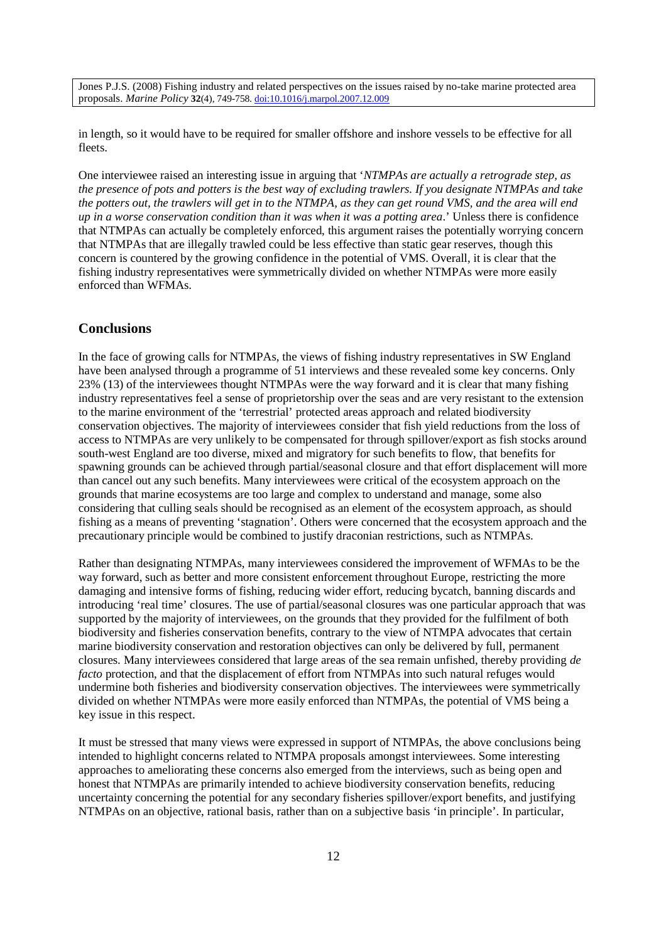in length, so it would have to be required for smaller offshore and inshore vessels to be effective for all fleets.

One interviewee raised an interesting issue in arguing that '*NTMPAs are actually a retrograde step, as the presence of pots and potters is the best way of excluding trawlers. If you designate NTMPAs and take the potters out, the trawlers will get in to the NTMPA, as they can get round VMS, and the area will end up in a worse conservation condition than it was when it was a potting area*.' Unless there is confidence that NTMPAs can actually be completely enforced, this argument raises the potentially worrying concern that NTMPAs that are illegally trawled could be less effective than static gear reserves, though this concern is countered by the growing confidence in the potential of VMS. Overall, it is clear that the fishing industry representatives were symmetrically divided on whether NTMPAs were more easily enforced than WFMAs.

### **Conclusions**

In the face of growing calls for NTMPAs, the views of fishing industry representatives in SW England have been analysed through a programme of 51 interviews and these revealed some key concerns. Only 23% (13) of the interviewees thought NTMPAs were the way forward and it is clear that many fishing industry representatives feel a sense of proprietorship over the seas and are very resistant to the extension to the marine environment of the 'terrestrial' protected areas approach and related biodiversity conservation objectives. The majority of interviewees consider that fish yield reductions from the loss of access to NTMPAs are very unlikely to be compensated for through spillover/export as fish stocks around south-west England are too diverse, mixed and migratory for such benefits to flow, that benefits for spawning grounds can be achieved through partial/seasonal closure and that effort displacement will more than cancel out any such benefits. Many interviewees were critical of the ecosystem approach on the grounds that marine ecosystems are too large and complex to understand and manage, some also considering that culling seals should be recognised as an element of the ecosystem approach, as should fishing as a means of preventing 'stagnation'. Others were concerned that the ecosystem approach and the precautionary principle would be combined to justify draconian restrictions, such as NTMPAs.

Rather than designating NTMPAs, many interviewees considered the improvement of WFMAs to be the way forward, such as better and more consistent enforcement throughout Europe, restricting the more damaging and intensive forms of fishing, reducing wider effort, reducing bycatch, banning discards and introducing 'real time' closures. The use of partial/seasonal closures was one particular approach that was supported by the majority of interviewees, on the grounds that they provided for the fulfilment of both biodiversity and fisheries conservation benefits, contrary to the view of NTMPA advocates that certain marine biodiversity conservation and restoration objectives can only be delivered by full, permanent closures. Many interviewees considered that large areas of the sea remain unfished, thereby providing *de facto* protection, and that the displacement of effort from NTMPAs into such natural refuges would undermine both fisheries and biodiversity conservation objectives. The interviewees were symmetrically divided on whether NTMPAs were more easily enforced than NTMPAs, the potential of VMS being a key issue in this respect.

It must be stressed that many views were expressed in support of NTMPAs, the above conclusions being intended to highlight concerns related to NTMPA proposals amongst interviewees. Some interesting approaches to ameliorating these concerns also emerged from the interviews, such as being open and honest that NTMPAs are primarily intended to achieve biodiversity conservation benefits, reducing uncertainty concerning the potential for any secondary fisheries spillover/export benefits, and justifying NTMPAs on an objective, rational basis, rather than on a subjective basis 'in principle'. In particular,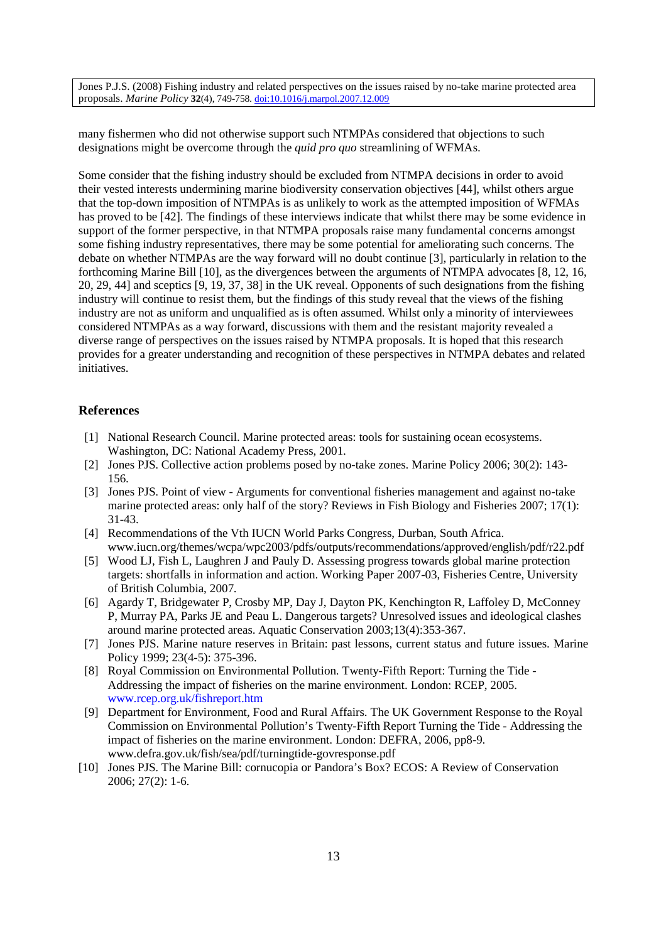many fishermen who did not otherwise support such NTMPAs considered that objections to such designations might be overcome through the *quid pro quo* streamlining of WFMAs.

Some consider that the fishing industry should be excluded from NTMPA decisions in order to avoid their vested interests undermining marine biodiversity conservation objectives [44], whilst others argue that the top-down imposition of NTMPAs is as unlikely to work as the attempted imposition of WFMAs has proved to be [42]. The findings of these interviews indicate that whilst there may be some evidence in support of the former perspective, in that NTMPA proposals raise many fundamental concerns amongst some fishing industry representatives, there may be some potential for ameliorating such concerns. The debate on whether NTMPAs are the way forward will no doubt continue [3], particularly in relation to the forthcoming Marine Bill [10], as the divergences between the arguments of NTMPA advocates [8, 12, 16, 20, 29, 44] and sceptics [9, 19, 37, 38] in the UK reveal. Opponents of such designations from the fishing industry will continue to resist them, but the findings of this study reveal that the views of the fishing industry are not as uniform and unqualified as is often assumed. Whilst only a minority of interviewees considered NTMPAs as a way forward, discussions with them and the resistant majority revealed a diverse range of perspectives on the issues raised by NTMPA proposals. It is hoped that this research provides for a greater understanding and recognition of these perspectives in NTMPA debates and related initiatives.

#### **References**

- [1] National Research Council. Marine protected areas: tools for sustaining ocean ecosystems. Washington, DC: National Academy Press, 2001.
- [2] Jones PJS. Collective action problems posed by no-take zones. Marine Policy 2006; 30(2): 143- 156.
- [3] Jones PJS. Point of view Arguments for conventional fisheries management and against no-take marine protected areas: only half of the story? Reviews in Fish Biology and Fisheries 2007; 17(1): 31-43.
- [4] Recommendations of the Vth IUCN World Parks Congress, Durban, South Africa. www.iucn.org/themes/wcpa/wpc2003/pdfs/outputs/recommendations/approved/english/pdf/r22.pdf
- [5] Wood LJ, Fish L, Laughren J and Pauly D. Assessing progress towards global marine protection targets: shortfalls in information and action. Working Paper 2007-03, Fisheries Centre, University of British Columbia, 2007.
- [6] Agardy T, Bridgewater P, Crosby MP, Day J, Dayton PK, Kenchington R, Laffoley D, McConney P, Murray PA, Parks JE and Peau L. Dangerous targets? Unresolved issues and ideological clashes around marine protected areas. Aquatic Conservation 2003;13(4):353-367.
- [7] Jones PJS. Marine nature reserves in Britain: past lessons, current status and future issues. Marine Policy 1999; 23(4-5): 375-396.
- [8] Royal Commission on Environmental Pollution. Twenty-Fifth Report: Turning the Tide Addressing the impact of fisheries on the marine environment. London: RCEP, 2005. www.rcep.org.uk/fishreport.htm
- [9] Department for Environment, Food and Rural Affairs. The UK Government Response to the Royal Commission on Environmental Pollution's Twenty-Fifth Report Turning the Tide - Addressing the impact of fisheries on the marine environment. London: DEFRA, 2006, pp8-9. www.defra.gov.uk/fish/sea/pdf/turningtide-govresponse.pdf
- [10] Jones PJS. The Marine Bill: cornucopia or Pandora's Box? ECOS: A Review of Conservation 2006; 27(2): 1-6.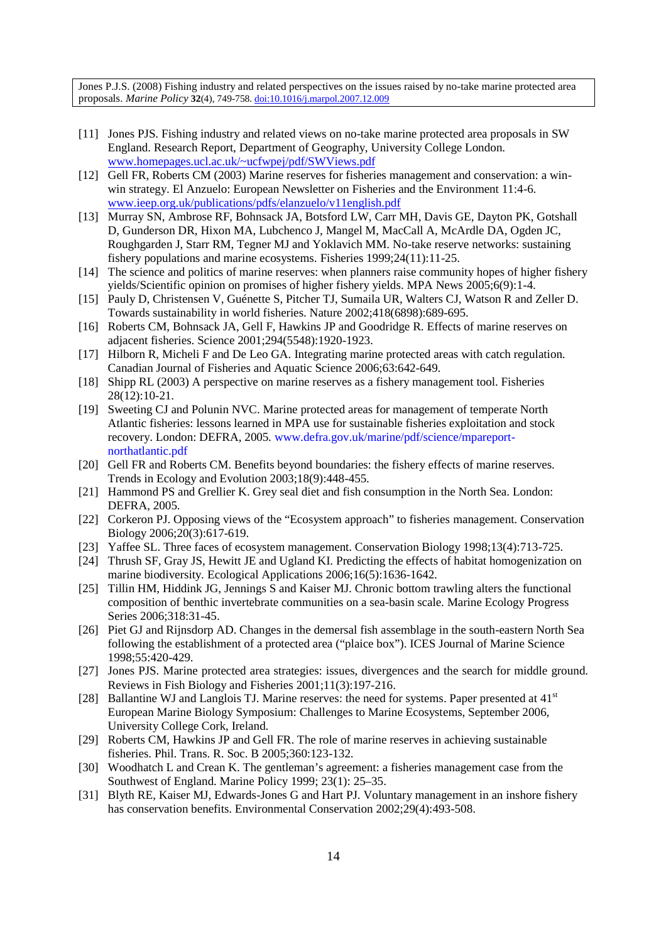- [11] Jones PJS. Fishing industry and related views on no-take marine protected area proposals in SW England. Research Report, Department of Geography, University College London. www.homepages.ucl.ac.uk/~ucfwpej/pdf/SWViews.pdf
- [12] Gell FR, Roberts CM (2003) Marine reserves for fisheries management and conservation: a winwin strategy. El Anzuelo: European Newsletter on Fisheries and the Environment 11:4-6. www.ieep.org.uk/publications/pdfs/elanzuelo/v11english.pdf
- [13] Murray SN, Ambrose RF, Bohnsack JA, Botsford LW, Carr MH, Davis GE, Dayton PK, Gotshall D, Gunderson DR, Hixon MA, Lubchenco J, Mangel M, MacCall A, McArdle DA, Ogden JC, Roughgarden J, Starr RM, Tegner MJ and Yoklavich MM. No-take reserve networks: sustaining fishery populations and marine ecosystems. Fisheries 1999;24(11):11-25.
- [14] The science and politics of marine reserves: when planners raise community hopes of higher fishery yields/Scientific opinion on promises of higher fishery yields. MPA News 2005;6(9):1-4.
- [15] Pauly D, Christensen V, Guénette S, Pitcher TJ, Sumaila UR, Walters CJ, Watson R and Zeller D. Towards sustainability in world fisheries. Nature 2002;418(6898):689-695.
- [16] Roberts CM, Bohnsack JA, Gell F, Hawkins JP and Goodridge R. Effects of marine reserves on adjacent fisheries. Science 2001;294(5548):1920-1923.
- [17] Hilborn R, Micheli F and De Leo GA. Integrating marine protected areas with catch regulation. Canadian Journal of Fisheries and Aquatic Science 2006;63:642-649.
- [18] Shipp RL (2003) A perspective on marine reserves as a fishery management tool. Fisheries 28(12):10-21.
- [19] Sweeting CJ and Polunin NVC. Marine protected areas for management of temperate North Atlantic fisheries: lessons learned in MPA use for sustainable fisheries exploitation and stock recovery. London: DEFRA, 2005. www.defra.gov.uk/marine/pdf/science/mpareportnorthatlantic.pdf
- [20] Gell FR and Roberts CM. Benefits beyond boundaries: the fishery effects of marine reserves. Trends in Ecology and Evolution 2003;18(9):448-455.
- [21] Hammond PS and Grellier K. Grey seal diet and fish consumption in the North Sea. London: DEFRA, 2005.
- [22] Corkeron PJ. Opposing views of the "Ecosystem approach" to fisheries management. Conservation Biology 2006;20(3):617-619.
- [23] Yaffee SL. Three faces of ecosystem management. Conservation Biology 1998;13(4):713-725.
- [24] Thrush SF, Gray JS, Hewitt JE and Ugland KI. Predicting the effects of habitat homogenization on marine biodiversity. Ecological Applications 2006;16(5):1636-1642.
- [25] Tillin HM, Hiddink JG, Jennings S and Kaiser MJ. Chronic bottom trawling alters the functional composition of benthic invertebrate communities on a sea-basin scale. Marine Ecology Progress Series 2006;318:31-45.
- [26] Piet GJ and Rijnsdorp AD. Changes in the demersal fish assemblage in the south-eastern North Sea following the establishment of a protected area ("plaice box"). ICES Journal of Marine Science 1998;55:420-429.
- [27] Jones PJS. Marine protected area strategies: issues, divergences and the search for middle ground. Reviews in Fish Biology and Fisheries 2001;11(3):197-216.
- [28] Ballantine WJ and Langlois TJ. Marine reserves: the need for systems. Paper presented at  $41<sup>st</sup>$ European Marine Biology Symposium: Challenges to Marine Ecosystems, September 2006, University College Cork, Ireland.
- [29] Roberts CM, Hawkins JP and Gell FR. The role of marine reserves in achieving sustainable fisheries. Phil. Trans. R. Soc. B 2005;360:123-132.
- [30] Woodhatch L and Crean K. The gentleman's agreement: a fisheries management case from the Southwest of England. Marine Policy 1999; 23(1): 25–35.
- [31] Blyth RE, Kaiser MJ, Edwards-Jones G and Hart PJ. Voluntary management in an inshore fishery has conservation benefits. Environmental Conservation 2002;29(4):493-508.